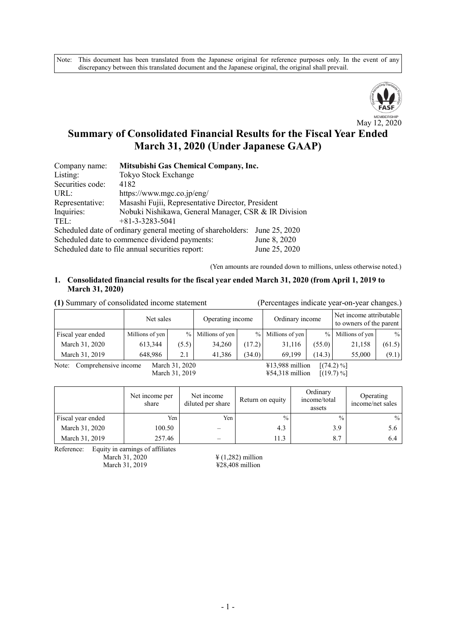Note: This document has been translated from the Japanese original for reference purposes only. In the event of any discrepancy between this translated document and the Japanese original, the original shall prevail.



# **Summary of Consolidated Financial Results for the Fiscal Year Ended March 31, 2020 (Under Japanese GAAP)**

| Company name:                                                     | Mitsubishi Gas Chemical Company, Inc.                                        |  |  |  |  |  |
|-------------------------------------------------------------------|------------------------------------------------------------------------------|--|--|--|--|--|
| Listing:                                                          | Tokyo Stock Exchange                                                         |  |  |  |  |  |
| Securities code:                                                  | 4182                                                                         |  |  |  |  |  |
| URL:                                                              | https://www.mgc.co.jp/eng/                                                   |  |  |  |  |  |
| Representative:                                                   | Masashi Fujii, Representative Director, President                            |  |  |  |  |  |
| Inquiries:                                                        | Nobuki Nishikawa, General Manager, CSR & IR Division                         |  |  |  |  |  |
| TEL:                                                              | $+81-3-3283-5041$                                                            |  |  |  |  |  |
|                                                                   | Scheduled date of ordinary general meeting of shareholders:<br>June 25, 2020 |  |  |  |  |  |
| June 8, 2020<br>Scheduled date to commence dividend payments:     |                                                                              |  |  |  |  |  |
| June 25, 2020<br>Scheduled date to file annual securities report: |                                                                              |  |  |  |  |  |

(Yen amounts are rounded down to millions, unless otherwise noted.)

#### **1. Consolidated financial results for the fiscal year ended March 31, 2020 (from April 1, 2019 to March 31, 2020)**

| (1) Summary of consolidated income statement                                                                                                                                                                                                                                                                                                                          |                 |       |                  |        |                   |               | (Percentages indicate year-on-year changes.)       |               |
|-----------------------------------------------------------------------------------------------------------------------------------------------------------------------------------------------------------------------------------------------------------------------------------------------------------------------------------------------------------------------|-----------------|-------|------------------|--------|-------------------|---------------|----------------------------------------------------|---------------|
|                                                                                                                                                                                                                                                                                                                                                                       | Net sales       |       | Operating income |        | Ordinary income   |               | Net income attributable<br>to owners of the parent |               |
| Fiscal year ended                                                                                                                                                                                                                                                                                                                                                     | Millions of yen | $\%$  | Millions of yen  |        | % Millions of yen | $\frac{0}{0}$ | Millions of yen                                    | $\frac{0}{0}$ |
| March 31, 2020                                                                                                                                                                                                                                                                                                                                                        | 613,344         | (5.5) | 34,260           | (17.2) | 31,116            | (55.0)        | 21,158                                             | (61.5)        |
| March 31, 2019                                                                                                                                                                                                                                                                                                                                                        | 648.986         | 2.1   | 41.386           | (34.0) | 69,199            | (14.3)        | 55,000                                             | (9.1)         |
| $V12.000 - 11$ $V74.2 \times 1$<br>$\mathbf{M}$ $\mathbf{A}$ $\mathbf{A}$ $\mathbf{A}$ $\mathbf{A}$ $\mathbf{A}$ $\mathbf{A}$ $\mathbf{A}$ $\mathbf{A}$ $\mathbf{A}$ $\mathbf{A}$ $\mathbf{A}$ $\mathbf{A}$ $\mathbf{A}$ $\mathbf{A}$ $\mathbf{A}$ $\mathbf{A}$ $\mathbf{A}$ $\mathbf{A}$ $\mathbf{A}$ $\mathbf{A}$ $\mathbf{A}$ $\mathbf{A}$ $\mathbf{A}$ $\mathbf{$ |                 |       |                  |        |                   |               |                                                    |               |

Note: Comprehensive income March 31, 2020 ¥13,988 million [(74.2) %]

March 31, 2019 ¥54,318 million [(19.7) %]

|                   | Net income per<br>share | Net income<br>diluted per share | Return on equity | Ordinary<br>income/total<br>assets | Operating<br>income/net sales |
|-------------------|-------------------------|---------------------------------|------------------|------------------------------------|-------------------------------|
| Fiscal year ended | Yen                     | Yen i                           | $\frac{0}{0}$    | $\frac{0}{0}$                      | $\frac{0}{0}$                 |
| March 31, 2020    | 100.50                  |                                 | 4.3              | 3.9                                | 5.6                           |
| March 31, 2019    | 257.46                  |                                 | 11.3             | 8.7                                | 6.4                           |

Reference: Equity in earnings of affiliates

March 31, 2020 <br>
March 31, 2019 <br>  $\frac{4}{1,282}$  million<br>  $\frac{4}{28,408}$  million  $\overrightarrow{428,408}$  million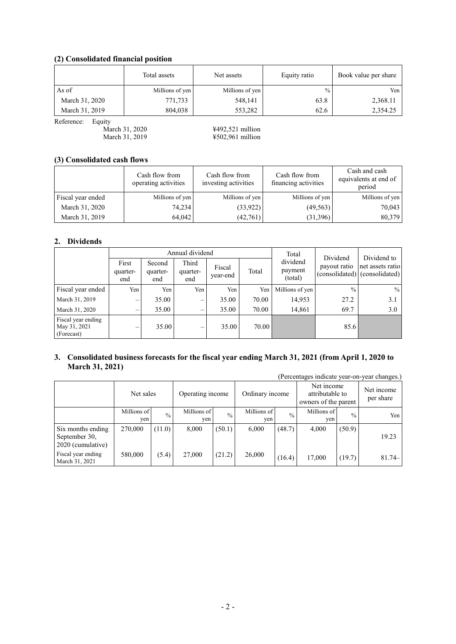### **(2) Consolidated financial position**

|                | Total assets    | Net assets      | Equity ratio  | Book value per share |
|----------------|-----------------|-----------------|---------------|----------------------|
| As of          | Millions of yen | Millions of yen | $\frac{0}{0}$ | Yen                  |
| March 31, 2020 | 771,733         | 548,141         | 63.8          | 2,368.11             |
| March 31, 2019 | 804,038         | 553,282         | 62.6          | 2,354.25             |

Reference: Equity<br>March 31, 2020<br>March 31, 2019

¥492,521 million  $\frac{1}{2}$  \$502,961 million

#### **(3) Consolidated cash flows**

|                   | Cash flow from<br>operating activities | Cash flow from<br>investing activities | Cash flow from<br>financing activities | Cash and cash<br>equivalents at end of<br>period |
|-------------------|----------------------------------------|----------------------------------------|----------------------------------------|--------------------------------------------------|
| Fiscal year ended | Millions of yen                        | Millions of yen                        | Millions of yen                        | Millions of yen                                  |
| March 31, 2020    | 74,234                                 | (33,922)                               | (49, 563)                              | 70,043                                           |
| March 31, 2019    | 64,042                                 | (42,761)                               | (31,396)                               | 80,379                                           |

#### **2. Dividends**

|                                                  |                          |                           | Annual dividend          |                    |       | Total                          | Dividend      | Dividend to                                       |
|--------------------------------------------------|--------------------------|---------------------------|--------------------------|--------------------|-------|--------------------------------|---------------|---------------------------------------------------|
|                                                  | First<br>quarter-<br>end | Second<br>quarter-<br>end | Third<br>quarter-<br>end | Fiscal<br>year-end | Total | dividend<br>payment<br>(total) | payout ratio  | net assets ratio<br>(consolidated) (consolidated) |
| Fiscal year ended                                | Yen                      | Yen                       | Yen                      | Yen                | Yen   | Millions of yen                | $\frac{0}{0}$ | $\%$                                              |
| March 31, 2019                                   |                          | 35.00                     |                          | 35.00              | 70.00 | 14,953                         | 27.2          | 3.1                                               |
| March 31, 2020                                   | $\overline{\phantom{0}}$ | 35.00                     | $\overline{\phantom{0}}$ | 35.00              | 70.00 | 14,861                         | 69.7          | 3.0                                               |
| Fiscal year ending<br>May 31, 2021<br>(Forecast) | –                        | 35.00                     |                          | 35.00              | 70.00 |                                | 85.6          |                                                   |

#### **3. Consolidated business forecasts for the fiscal year ending March 31, 2021 (from April 1, 2020 to March 31, 2021)**

| (Percentages indicate year-on-year changes.)            |                    |               |                    |               |                    |               |                                                       |               |                         |
|---------------------------------------------------------|--------------------|---------------|--------------------|---------------|--------------------|---------------|-------------------------------------------------------|---------------|-------------------------|
|                                                         | Net sales          |               | Operating income   |               | Ordinary income    |               | Net income<br>attributable to<br>owners of the parent |               | Net income<br>per share |
|                                                         | Millions of<br>ven | $\frac{0}{0}$ | Millions of<br>yen | $\frac{0}{0}$ | Millions of<br>yen | $\frac{0}{0}$ | Millions of<br>yen                                    | $\frac{0}{0}$ | Yen                     |
| Six months ending<br>September 30,<br>2020 (cumulative) | 270,000            | (11.0)        | 8,000              | (50.1)        | 6,000              | (48.7)        | 4,000                                                 | (50.9)        | 19.23                   |
| Fiscal year ending<br>March 31, 2021                    | 580,000            | (5.4)         | 27,000             | (21.2)        | 26,000             | (16.4)        | 17,000                                                | (19.7)        | $81.74-$                |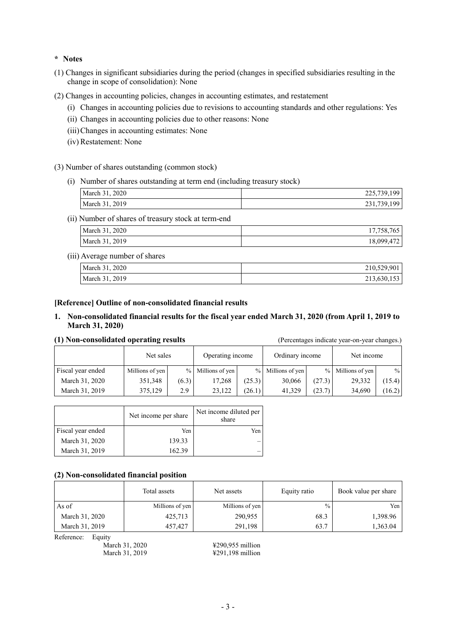#### **\* Notes**

- (1) Changes in significant subsidiaries during the period (changes in specified subsidiaries resulting in the change in scope of consolidation): None
- (2) Changes in accounting policies, changes in accounting estimates, and restatement
	- (i) Changes in accounting policies due to revisions to accounting standards and other regulations: Yes
	- (ii) Changes in accounting policies due to other reasons: None
	- (iii)Changes in accounting estimates: None
	- (iv) Restatement: None

#### (3) Number of shares outstanding (common stock)

(i) Number of shares outstanding at term end (including treasury stock)

| March 31, 2020 | 225,739,199 |
|----------------|-------------|
| March 31, 2019 | 231,739,199 |

(ii) Number of shares of treasury stock at term-end

| March 31, 2020 | 17,758,765              |
|----------------|-------------------------|
| March 31, 2019 | $47^\circ$<br>18,099,47 |

#### (iii) Average number of shares

| March 31, 2020 | 210,529,901 |
|----------------|-------------|
| March 31, 2019 | 213,630,153 |

#### **[Reference] Outline of non-consolidated financial results**

#### **1. Non-consolidated financial results for the fiscal year ended March 31, 2020 (from April 1, 2019 to March 31, 2020)**

#### **(1) Non-consolidated operating results** (Percentages indicate year-on-year changes.)

|                   | Net sales       |       | Operating income    |        | Ordinary income     |        | Net income        |        |
|-------------------|-----------------|-------|---------------------|--------|---------------------|--------|-------------------|--------|
| Fiscal year ended | Millions of yen |       | $%$ Millions of yen |        | $%$ Millions of yen |        | % Millions of yen | $\%$   |
| March 31, 2020    | 351,348         | (6.3) | 17.268              | (25.3) | 30,066              | (27.3) | 29,332            | (15.4) |
| March 31, 2019    | 375,129         | 2.9   | 23.122              | (26.1) | 41.329              | (23.7) | 34,690            | (16.2) |

|                   | Net income per share | Net income diluted per<br>share |
|-------------------|----------------------|---------------------------------|
| Fiscal year ended | Yen                  | Yen                             |
| March 31, 2020    | 139.33               |                                 |
| March 31, 2019    | 162.39               |                                 |

#### **(2) Non-consolidated financial position**

|                | Total assets    | Net assets      | Equity ratio  | Book value per share |
|----------------|-----------------|-----------------|---------------|----------------------|
| As of          | Millions of yen | Millions of yen | $\frac{0}{0}$ | Yen                  |
| March 31, 2020 | 425,713         | 290,955         | 68.3          | 1,398.96             |
| March 31, 2019 | 457,427         | 291,198         | 63.7          | 1,363.04             |

Reference: Equity

March 31, 2020 **¥290,955 million** March 31, 2019 **¥291,198 million**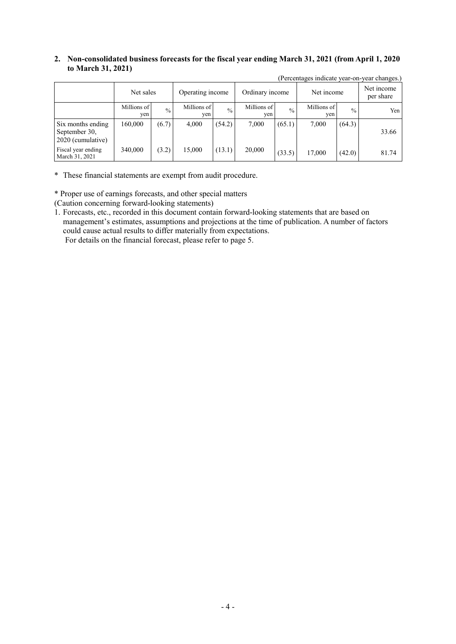#### **2. Non-consolidated business forecasts for the fiscal year ending March 31, 2021 (from April 1, 2020 to March 31, 2021)**

|                                                         |                    |               |                    |               |                    |               | $\mu$ creditates indicate year on |               | yvai viidilgvo.         |
|---------------------------------------------------------|--------------------|---------------|--------------------|---------------|--------------------|---------------|-----------------------------------|---------------|-------------------------|
|                                                         | Net sales          |               | Operating income   |               | Ordinary income    |               | Net income                        |               | Net income<br>per share |
|                                                         | Millions of<br>yen | $\frac{0}{0}$ | Millions of<br>yen | $\frac{0}{0}$ | Millions of<br>yen | $\frac{0}{0}$ | Millions of<br>yen                | $\frac{0}{0}$ | Yen                     |
| Six months ending<br>September 30,<br>2020 (cumulative) | 160,000            | (6.7)         | 4,000              | (54.2)        | 7,000              | (65.1)        | 7.000                             | (64.3)        | 33.66                   |
| Fiscal year ending<br>March 31, 2021                    | 340,000            | (3.2)         | 15,000             | (13.1)        | 20,000             | (33.5)        | 17,000                            | (42.0)        | 81.74                   |

(Percentages indicate year-on-year changes.)

\* These financial statements are exempt from audit procedure.

\* Proper use of earnings forecasts, and other special matters

(Caution concerning forward-looking statements)

1. Forecasts, etc., recorded in this document contain forward-looking statements that are based on management's estimates, assumptions and projections at the time of publication. A number of factors could cause actual results to differ materially from expectations.

For details on the financial forecast, please refer to page 5.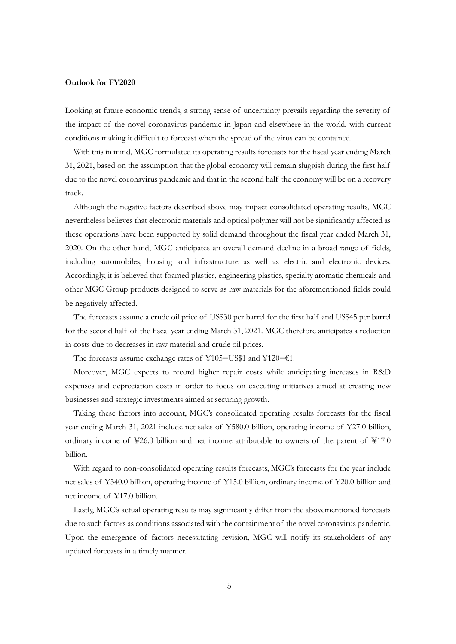#### **Outlook for FY2020**

Looking at future economic trends, a strong sense of uncertainty prevails regarding the severity of the impact of the novel coronavirus pandemic in Japan and elsewhere in the world, with current conditions making it difficult to forecast when the spread of the virus can be contained.

With this in mind, MGC formulated its operating results forecasts for the fiscal year ending March 31, 2021, based on the assumption that the global economy will remain sluggish during the first half due to the novel coronavirus pandemic and that in the second half the economy will be on a recovery track.

Although the negative factors described above may impact consolidated operating results, MGC nevertheless believes that electronic materials and optical polymer will not be significantly affected as these operations have been supported by solid demand throughout the fiscal year ended March 31, 2020. On the other hand, MGC anticipates an overall demand decline in a broad range of fields, including automobiles, housing and infrastructure as well as electric and electronic devices. Accordingly, it is believed that foamed plastics, engineering plastics, specialty aromatic chemicals and other MGC Group products designed to serve as raw materials for the aforementioned fields could be negatively affected.

The forecasts assume a crude oil price of US\$30 per barrel for the first half and US\$45 per barrel for the second half of the fiscal year ending March 31, 2021. MGC therefore anticipates a reduction in costs due to decreases in raw material and crude oil prices.

The forecasts assume exchange rates of ¥105=US\$1 and ¥120=€1.

Moreover, MGC expects to record higher repair costs while anticipating increases in R&D expenses and depreciation costs in order to focus on executing initiatives aimed at creating new businesses and strategic investments aimed at securing growth.

Taking these factors into account, MGC's consolidated operating results forecasts for the fiscal year ending March 31, 2021 include net sales of ¥580.0 billion, operating income of ¥27.0 billion, ordinary income of  $\text{\textless}26.0$  billion and net income attributable to owners of the parent of  $\text{\textless}17.0$ billion.

With regard to non-consolidated operating results forecasts, MGC's forecasts for the year include net sales of ¥340.0 billion, operating income of ¥15.0 billion, ordinary income of ¥20.0 billion and net income of ¥17.0 billion.

Lastly, MGC's actual operating results may significantly differ from the abovementioned forecasts due to such factors as conditions associated with the containment of the novel coronavirus pandemic. Upon the emergence of factors necessitating revision, MGC will notify its stakeholders of any updated forecasts in a timely manner.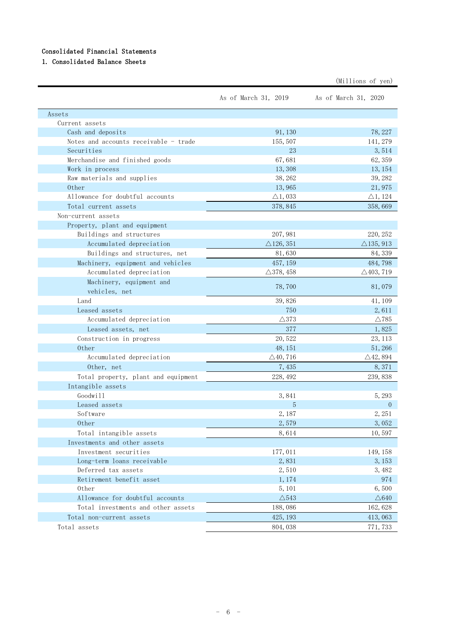#### Consolidated Financial Statements

### 1. Consolidated Balance Sheets

|                                           |                      | (Millions of yen)    |
|-------------------------------------------|----------------------|----------------------|
|                                           | As of March 31, 2019 | As of March 31, 2020 |
| Assets                                    |                      |                      |
| Current assets                            |                      |                      |
| Cash and deposits                         | 91, 130              | 78, 227              |
| Notes and accounts receivable - trade     | 155, 507             | 141, 279             |
| Securities                                | 23                   | 3,514                |
| Merchandise and finished goods            | 67,681               | 62, 359              |
| Work in process                           | 13,308               | 13, 154              |
| Raw materials and supplies                | 38, 262              | 39, 282              |
| 0ther                                     | 13,965               | 21,975               |
| Allowance for doubtful accounts           | $\triangle$ 1, 033   | $\triangle$ 1, 124   |
| Total current assets                      | 378, 845             | 358,669              |
| Non-current assets                        |                      |                      |
| Property, plant and equipment             |                      |                      |
| Buildings and structures                  | 207, 981             | 220, 252             |
| Accumulated depreciation                  | $\triangle$ 126, 351 | $\triangle$ 135, 913 |
| Buildings and structures, net             | 81,630               | 84, 339              |
| Machinery, equipment and vehicles         | 457, 159             | 484,798              |
| Accumulated depreciation                  | $\triangle$ 378, 458 | $\triangle$ 403, 719 |
| Machinery, equipment and<br>vehicles, net | 78,700               | 81,079               |
| Land                                      | 39,826               | 41, 109              |
| Leased assets                             | 750                  | 2,611                |
| Accumulated depreciation                  | $\triangle$ 373      | $\triangle$ 785      |
| Leased assets, net                        | 377                  | 1,825                |
| Construction in progress                  | 20,522               | 23, 113              |
| Other                                     | 48, 151              | 51,266               |
| Accumulated depreciation                  | $\triangle$ 40, 716  | $\triangle$ 42, 894  |
| Other, net                                | 7,435                | 8,371                |
| Total property, plant and equipment       | 228, 492             | 239,838              |
| Intangible assets                         |                      |                      |
| Goodwill                                  | 3,841                | 5, 293               |
| Leased assets                             | 5                    | $\overline{0}$       |
| Software                                  | 2,187                | 2,251                |
| 0ther                                     | 2,579                | 3,052                |
|                                           |                      |                      |
| Total intangible assets                   | 8,614                | 10,597               |
| Investments and other assets              |                      |                      |
| Investment securities                     | 177,011              | 149, 158             |
| Long-term loans receivable                | 2,831                | 3, 153               |
| Deferred tax assets                       | 2,510                | 3, 482               |
| Retirement benefit asset<br>0ther         | 1,174                | 974<br>6,500         |
| Allowance for doubtful accounts           | 5, 101               |                      |
|                                           | $\triangle$ 543      | $\triangle$ 640      |
| Total investments and other assets        | 188,086              | 162, 628             |
| Total non-current assets                  | 425, 193             | 413,063              |
| Total assets                              | 804, 038             | 771, 733             |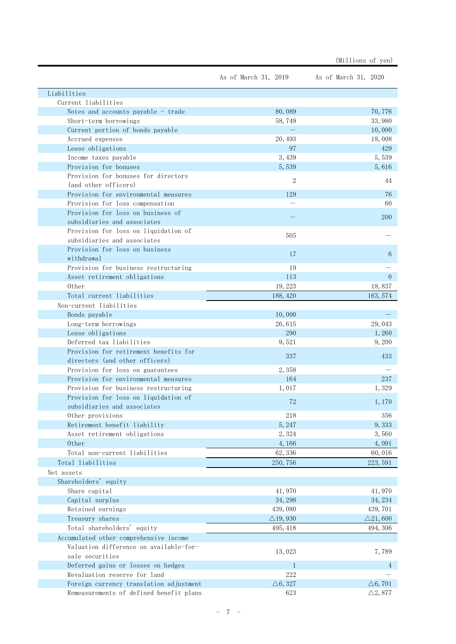|                                                           |                      | (Millions of yen)    |
|-----------------------------------------------------------|----------------------|----------------------|
|                                                           | As of March 31, 2019 | As of March 31, 2020 |
| Liabilities                                               |                      |                      |
| Current liabilities                                       |                      |                      |
| Notes and accounts payable - trade                        | 80,089               | 70,776               |
| Short-term borrowings                                     | 58,749               | 33,980               |
| Current portion of bonds payable                          |                      | 10,000               |
| Accrued expenses                                          | 20, 493              | 18,008               |
| Lease obligations                                         | 97                   | 429                  |
| Income taxes payable                                      | 3, 439               | 5,539                |
| Provision for bonuses                                     | 5,539                | 5,616                |
| Provision for bonuses for directors                       | 2                    | 44                   |
| (and other officers)                                      |                      |                      |
| Provision for environmental measures                      | 129                  | 76                   |
| Provision for loss compensation                           |                      | 60                   |
| Provision for loss on business of                         |                      | 200                  |
| subsidiaries and associates                               |                      |                      |
| Provision for loss on liquidation of                      | 505                  |                      |
| subsidiaries and associates                               |                      |                      |
| Provision for loss on business                            | 17                   | 6                    |
| withdrawal                                                |                      |                      |
| Provision for business restructuring                      | 19                   |                      |
| Asset retirement obligations                              | 113                  | $\theta$             |
| 0ther                                                     | 19, 223              | 18,837               |
| Total current liabilities                                 | 188, 420             | 163, 574             |
| Non-current liabilities                                   |                      |                      |
| Bonds payable                                             | 10,000               |                      |
| Long-term borrowings                                      | 26,615               | 29,043               |
| Lease obligations                                         | 290                  | 1,260                |
| Deferred tax liabilities                                  | 9,521                | 9, 200               |
| Provision for retirement benefits for                     | 337                  | 433                  |
| directors (and other officers)                            |                      |                      |
| Provision for loss on guarantees                          | 2,358                |                      |
| Provision for environmental measures                      | 164                  | 237                  |
| Provision for business restructuring                      | 1,017                | 1,329                |
| Provision for loss on liquidation of                      | 72                   | 1,170                |
| subsidiaries and associates                               |                      |                      |
| Other provisions                                          | 218                  | 356                  |
| Retirement benefit liability                              | 5, 247               | 9,333                |
| Asset retirement obligations                              | 2,324                | 3,560                |
| 0ther                                                     | 4,166                | 4,091                |
| Total non-current liabilities                             | 62,336               | 60,016               |
| Total liabilities                                         | 250, 756             | 223, 591             |
| Net assets                                                |                      |                      |
| Shareholders' equity                                      |                      |                      |
| Share capital                                             | 41,970               | 41,970               |
| Capital surplus                                           | 34, 298              | 34, 234              |
| Retained earnings                                         | 439,080              | 439, 701             |
| Treasury shares                                           | $\triangle$ 19,930   | $\triangle$ 21,600   |
| Total shareholders' equity                                | 495, 418             | 494, 306             |
| Accumulated other comprehensive income                    |                      |                      |
| Valuation difference on available-for-<br>sale securities | 13,023               | 7,789                |
| Deferred gains or losses on hedges                        | $\mathbf{1}$         | 4                    |
| Revaluation reserve for land                              | 222                  |                      |
| Foreign currency translation adjustment                   | $\triangle 6, 327$   | $\triangle 6, 701$   |
| Remeasurements of defined benefit plans                   | 623                  | $\triangle 2,877$    |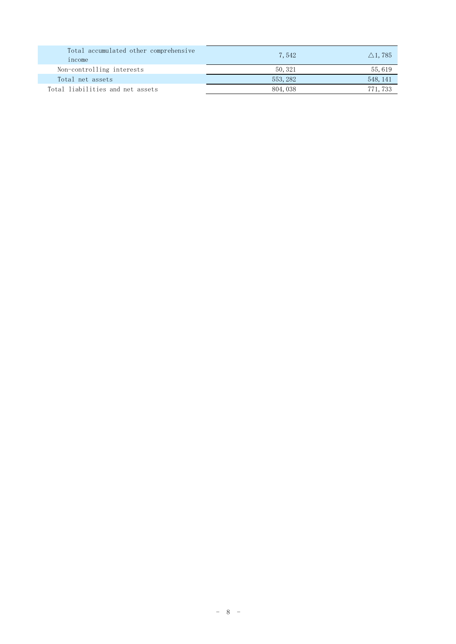| Total accumulated other comprehensive<br>1ncome | 7,542    | $\triangle$ 1,785 |
|-------------------------------------------------|----------|-------------------|
| Non-controlling interests                       | 50, 321  | 55,619            |
| Total net assets                                | 553, 282 | 548, 141          |
| Total liabilities and net assets                | 804, 038 | 771, 733          |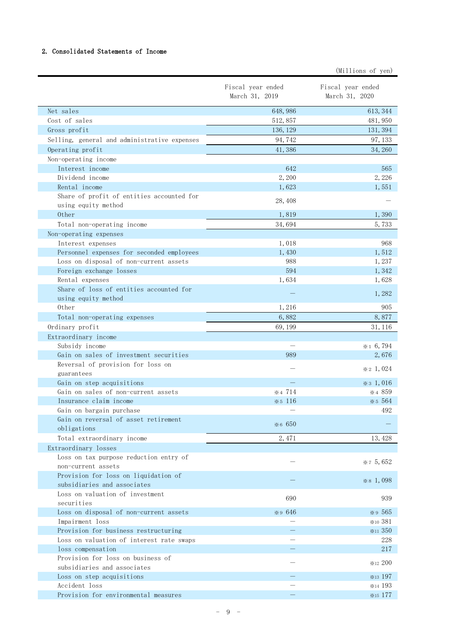#### 2. Consolidated Statements of Income

|                                                                  |                                     | (Millions of yen)                         |
|------------------------------------------------------------------|-------------------------------------|-------------------------------------------|
|                                                                  | Fiscal year ended<br>March 31, 2019 | Fiscal year ended<br>March 31, 2020       |
| Net sales                                                        | 648, 986                            | 613, 344                                  |
| Cost of sales                                                    | 512, 857                            | 481, 950                                  |
| Gross profit                                                     | 136, 129                            | 131, 394                                  |
| Selling, general and administrative expenses                     | 94,742                              | 97, 133                                   |
| Operating profit                                                 | 41,386                              | 34, 260                                   |
| Non-operating income                                             |                                     |                                           |
| Interest income                                                  | 642                                 | 565                                       |
| Dividend income                                                  | 2,200                               | 2,226                                     |
| Rental income                                                    | 1,623                               | 1,551                                     |
| Share of profit of entities accounted for                        |                                     |                                           |
| using equity method                                              | 28,408                              |                                           |
| 0ther                                                            | 1,819                               | 1,390                                     |
| Total non-operating income                                       | 34,694                              | 5,733                                     |
| Non-operating expenses                                           |                                     |                                           |
| Interest expenses                                                | 1,018                               | 968                                       |
| Personnel expenses for seconded employees                        | 1,430                               | 1,512                                     |
| Loss on disposal of non-current assets                           | 988                                 | 1,237                                     |
| Foreign exchange losses                                          | 594                                 | 1,342                                     |
| Rental expenses                                                  | 1,634                               | 1,628                                     |
| Share of loss of entities accounted for<br>using equity method   |                                     | 1,282                                     |
| 0ther                                                            | 1,216                               | 905                                       |
| Total non-operating expenses                                     | 6,882                               | 8,877                                     |
| Ordinary profit                                                  | 69, 199                             | 31, 116                                   |
| Extraordinary income                                             |                                     |                                           |
| Subsidy income                                                   |                                     | $*16,794$                                 |
| Gain on sales of investment securities                           | 989                                 | 2,676                                     |
| Reversal of provision for loss on                                |                                     | $\& 2\;1,024$                             |
| guarantees                                                       |                                     |                                           |
| Gain on step acquisitions                                        |                                     | $\frac{1}{2}$ $\frac{1}{2}$ $\frac{1}{6}$ |
| Gain on sales of non-current assets                              | $*4714$                             | $*4859$                                   |
| Insurance claim income                                           | $*5116$                             | * 5 5 6 4                                 |
| Gain on bargain purchase                                         |                                     | 492                                       |
| Gain on reversal of asset retirement                             | *6 650                              |                                           |
| obligations                                                      |                                     |                                           |
| Total extraordinary income                                       | 2,471                               | 13, 428                                   |
| Extraordinary losses                                             |                                     |                                           |
| Loss on tax purpose reduction entry of<br>non-current assets     |                                     | $*75,652$                                 |
| Provision for loss on liquidation of                             |                                     |                                           |
| subsidiaries and associates                                      |                                     | $*$ 8 1,098                               |
| Loss on valuation of investment                                  |                                     |                                           |
| securities                                                       | 690                                 | 939                                       |
| Loss on disposal of non-current assets                           | *9 646                              | *9 565                                    |
| Impairment loss                                                  |                                     | *10 381                                   |
| Provision for business restructuring                             |                                     | $*11350$                                  |
| Loss on valuation of interest rate swaps                         |                                     | 228                                       |
| loss compensation                                                |                                     | 217                                       |
| Provision for loss on business of<br>subsidiaries and associates |                                     | <b>*12 200</b>                            |
| Loss on step acquisitions                                        |                                     | $*$ <sub>13</sub> 197                     |
| Accident loss                                                    |                                     | *14 193                                   |
| Provision for environmental measures                             |                                     | <b>*15 177</b>                            |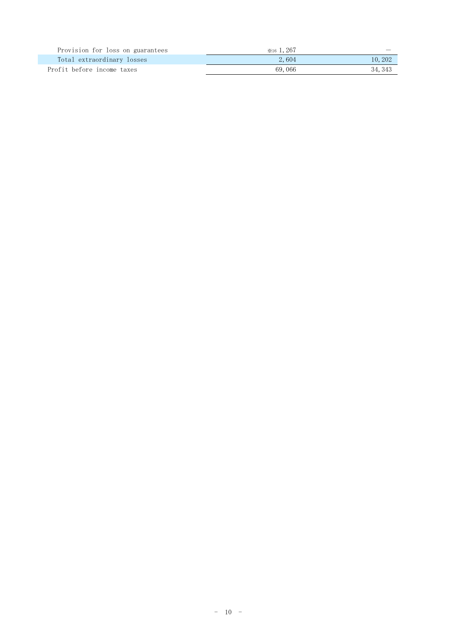| Provision for loss on guarantees | $\ge 16$ , 267 |         |
|----------------------------------|----------------|---------|
| Total extraordinary losses       | 2,604          | 10, 202 |
| Profit before income taxes       | 69.066         | 34, 343 |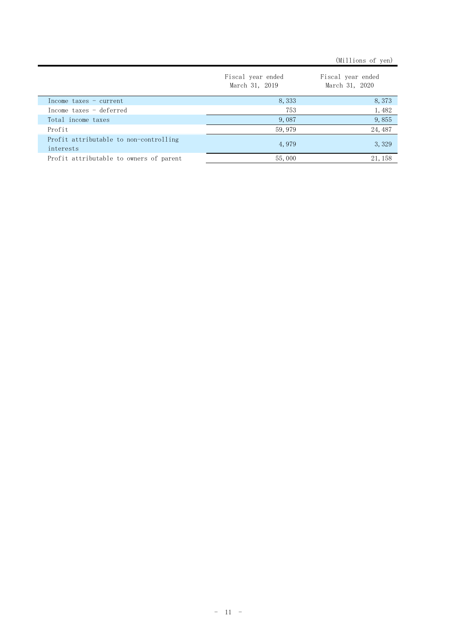|                                                     |                                     | (Millions of yen)                   |
|-----------------------------------------------------|-------------------------------------|-------------------------------------|
|                                                     | Fiscal year ended<br>March 31, 2019 | Fiscal year ended<br>March 31, 2020 |
| Income taxes - current                              | 8,333                               | 8,373                               |
| Income taxes - deferred                             | 753                                 | 1,482                               |
| Total income taxes                                  | 9,087                               | 9,855                               |
| Profit                                              | 59, 979                             | 24, 487                             |
| Profit attributable to non-controlling<br>interests | 4,979                               | 3,329                               |
| Profit attributable to owners of parent             | 55,000                              | 21, 158                             |
|                                                     |                                     |                                     |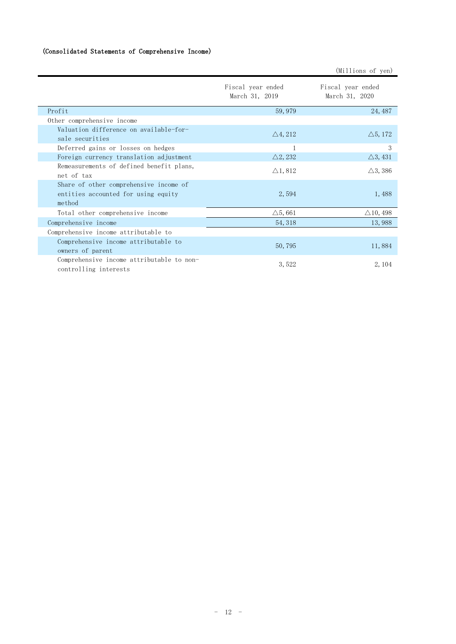#### (Consolidated Statements of Comprehensive Income)

|                                                                                         |                                     | (Millions of yen)                   |
|-----------------------------------------------------------------------------------------|-------------------------------------|-------------------------------------|
|                                                                                         | Fiscal year ended<br>March 31, 2019 | Fiscal year ended<br>March 31, 2020 |
| Profit                                                                                  | 59,979                              | 24, 487                             |
| Other comprehensive income                                                              |                                     |                                     |
| Valuation difference on available-for-<br>sale securities                               | $\triangle$ 4, 212                  | $\triangle$ 5, 172                  |
| Deferred gains or losses on hedges                                                      |                                     | 3                                   |
| Foreign currency translation adjustment                                                 | $\triangle$ 2, 232                  | $\triangle 3, 431$                  |
| Remeasurements of defined benefit plans,<br>net of tax                                  | $\triangle$ 1, 812                  | $\triangle$ 3, 386                  |
| Share of other comprehensive income of<br>entities accounted for using equity<br>method | 2,594                               | 1,488                               |
| Total other comprehensive income                                                        | $\triangle$ 5,661                   | $\triangle$ 10, 498                 |
| Comprehensive income                                                                    | 54, 318                             | 13,988                              |
| Comprehensive income attributable to                                                    |                                     |                                     |
| Comprehensive income attributable to<br>owners of parent                                | 50,795                              | 11,884                              |
| Comprehensive income attributable to non-<br>controlling interests                      | 3,522                               | 2, 104                              |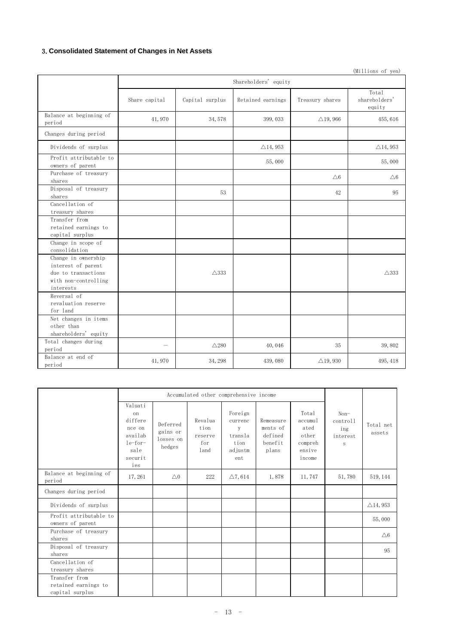#### 3.**Consolidated Statement of Changes in Net Assets**

|                                                                                                       |                          |                 |                      |                     | (Millions of yen)                |
|-------------------------------------------------------------------------------------------------------|--------------------------|-----------------|----------------------|---------------------|----------------------------------|
|                                                                                                       |                          |                 | Shareholders' equity |                     |                                  |
|                                                                                                       | Share capital            | Capital surplus | Retained earnings    | Treasury shares     | Total<br>shareholders'<br>equity |
| Balance at beginning of<br>period                                                                     | 41,970                   | 34, 578         | 399, 033             | $\triangle$ 19, 966 | 455,616                          |
| Changes during period                                                                                 |                          |                 |                      |                     |                                  |
| Dividends of surplus                                                                                  |                          |                 | $\triangle$ 14, 953  |                     | $\triangle$ 14, 953              |
| Profit attributable to<br>owners of parent                                                            |                          |                 | 55,000               |                     | 55,000                           |
| Purchase of treasury<br>shares                                                                        |                          |                 |                      | $\triangle 6$       | $\triangle 6$                    |
| Disposal of treasury<br>shares                                                                        |                          | 53              |                      | 42                  | 95                               |
| Cancellation of<br>treasury shares                                                                    |                          |                 |                      |                     |                                  |
| Transfer from<br>retained earnings to<br>capital surplus                                              |                          |                 |                      |                     |                                  |
| Change in scope of<br>consolidation                                                                   |                          |                 |                      |                     |                                  |
| Change in ownership<br>interest of parent<br>due to transactions<br>with non-controlling<br>interests |                          | $\triangle$ 333 |                      |                     | $\triangle$ 333                  |
| Reversal of<br>revaluation reserve<br>for land                                                        |                          |                 |                      |                     |                                  |
| Net changes in items<br>other than<br>shareholders' equity                                            |                          |                 |                      |                     |                                  |
| Total changes during<br>period                                                                        | $\overline{\phantom{0}}$ | $\triangle$ 280 | 40,046               | 35                  | 39,802                           |
| Balance at end of<br>period                                                                           | 41,970                   | 34, 298         | 439,080              | $\triangle$ 19, 930 | 495, 418                         |

|                                                          | Accumulated other comprehensive income                                               |                                             |                                           |                                                              |                                                      |                                                                  |                                                  |                     |
|----------------------------------------------------------|--------------------------------------------------------------------------------------|---------------------------------------------|-------------------------------------------|--------------------------------------------------------------|------------------------------------------------------|------------------------------------------------------------------|--------------------------------------------------|---------------------|
|                                                          | Valuati<br>on<br>differe<br>nce on<br>availab<br>$le-for-$<br>sale<br>securit<br>ies | Deferred<br>gains or<br>losses on<br>hedges | Revalua<br>tion<br>reserve<br>for<br>land | Foreign<br>currenc<br>y<br>transla<br>tion<br>adjustm<br>ent | Remeasure<br>ments of<br>defined<br>benefit<br>plans | Total<br>accumul<br>ated<br>other<br>compreh<br>ensive<br>income | $Non-$<br>controll<br>ing<br>interest<br>$\rm s$ | Total net<br>assets |
| Balance at beginning of<br>period                        | 17,261                                                                               | $\triangle$ 0                               | 222                                       | $\triangle$ 7, 614                                           | 1,878                                                | 11,747                                                           | 51,780                                           | 519, 144            |
| Changes during period                                    |                                                                                      |                                             |                                           |                                                              |                                                      |                                                                  |                                                  |                     |
| Dividends of surplus                                     |                                                                                      |                                             |                                           |                                                              |                                                      |                                                                  |                                                  | $\triangle$ 14, 953 |
| Profit attributable to<br>owners of parent               |                                                                                      |                                             |                                           |                                                              |                                                      |                                                                  |                                                  | 55,000              |
| Purchase of treasury<br>shares                           |                                                                                      |                                             |                                           |                                                              |                                                      |                                                                  |                                                  | $\triangle 6$       |
| Disposal of treasury<br>shares                           |                                                                                      |                                             |                                           |                                                              |                                                      |                                                                  |                                                  | 95                  |
| Cancellation of<br>treasury shares                       |                                                                                      |                                             |                                           |                                                              |                                                      |                                                                  |                                                  |                     |
| Transfer from<br>retained earnings to<br>capital surplus |                                                                                      |                                             |                                           |                                                              |                                                      |                                                                  |                                                  |                     |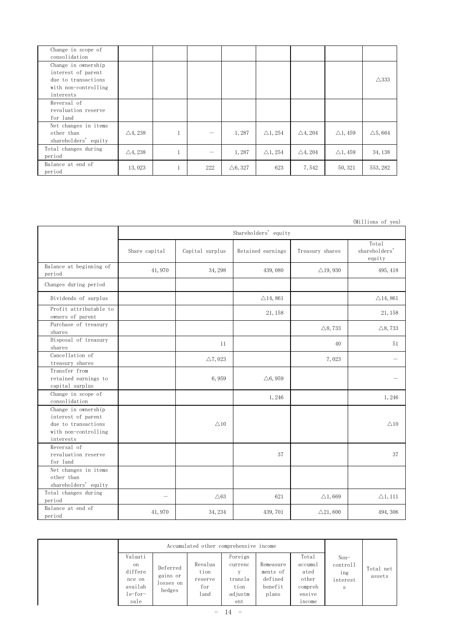| Change in scope of<br>consolidation                                                                   |                    |   |     |                    |                    |                    |                    |                   |
|-------------------------------------------------------------------------------------------------------|--------------------|---|-----|--------------------|--------------------|--------------------|--------------------|-------------------|
| Change in ownership<br>interest of parent<br>due to transactions<br>with non-controlling<br>interests |                    |   |     |                    |                    |                    |                    | $\triangle$ 333   |
| Reversal of<br>revaluation reserve<br>for land                                                        |                    |   |     |                    |                    |                    |                    |                   |
| Net changes in items<br>other than<br>shareholders' equity                                            | $\triangle$ 4, 238 |   | -   | 1,287              | $\triangle$ 1, 254 | $\triangle$ 4, 204 | $\triangle$ 1, 459 | $\triangle$ 5,664 |
| Total changes during<br>period                                                                        | $\triangle$ 4, 238 |   | -   | 1,287              | $\triangle$ 1, 254 | $\triangle 4, 204$ | $\triangle$ 1, 459 | 34, 138           |
| Balance at end of<br>period                                                                           | 13,023             | п | 222 | $\triangle 6, 327$ | 623                | 7,542              | 50, 321            | 553, 282          |

|                                                                                                       |               |                    |                      |                     | (Millions of yen)                |
|-------------------------------------------------------------------------------------------------------|---------------|--------------------|----------------------|---------------------|----------------------------------|
|                                                                                                       |               |                    | Shareholders' equity |                     |                                  |
|                                                                                                       | Share capital | Capital surplus    | Retained earnings    | Treasury shares     | Total<br>shareholders'<br>equity |
| Balance at beginning of<br>period                                                                     | 41,970        | 34, 298            | 439,080              | $\triangle$ 19, 930 | 495, 418                         |
| Changes during period                                                                                 |               |                    |                      |                     |                                  |
| Dividends of surplus                                                                                  |               |                    | $\triangle$ 14, 861  |                     | $\triangle$ 14, 861              |
| Profit attributable to<br>owners of parent                                                            |               |                    | 21, 158              |                     | 21, 158                          |
| Purchase of treasury<br>shares                                                                        |               |                    |                      | $\triangle$ 8,733   | $\triangle$ 8, 733               |
| Disposal of treasury<br>shares                                                                        |               | 11                 |                      | 40                  | 51                               |
| Cancellation of<br>treasury shares                                                                    |               | $\triangle$ 7, 023 |                      | 7,023               | $\overline{\phantom{0}}$         |
| Transfer from<br>retained earnings to<br>capital surplus                                              |               | 6,959              | $\triangle 6,959$    |                     |                                  |
| Change in scope of<br>consolidation                                                                   |               |                    | 1,246                |                     | 1,246                            |
| Change in ownership<br>interest of parent<br>due to transactions<br>with non-controlling<br>interests |               | $\triangle$ 10     |                      |                     | $\triangle$ 10                   |
| Reversal of<br>revaluation reserve<br>for land                                                        |               |                    | 37                   |                     | 37                               |
| Net changes in items<br>other than<br>shareholders' equity                                            |               |                    |                      |                     |                                  |
| Total changes during<br>period                                                                        |               | $\triangle 63$     | 621                  | $\triangle$ 1,669   | $\triangle 1, 111$               |
| Balance at end of<br>period                                                                           | 41,970        | 34, 234            | 439, 701             | $\triangle$ 21,600  | 494, 306                         |

| Valuati<br>on<br>differe<br>nce on<br>availab | Deferred<br>gains or<br>losses on | Accumulated other comprehensive income<br>Revalua<br>tion<br>reserve<br>for | Foreign<br>currenc<br>v<br>transla<br>tion | Remeasure<br>ments of<br>defined<br>benefit | Total<br>accumul<br>ated<br>other<br>compreh | $Non-$<br>controll<br>ing<br>interest<br>S | Total net<br>assets |
|-----------------------------------------------|-----------------------------------|-----------------------------------------------------------------------------|--------------------------------------------|---------------------------------------------|----------------------------------------------|--------------------------------------------|---------------------|
| $le-for-$                                     | hedges                            | land                                                                        | adjustm                                    | plans                                       | ensive                                       |                                            |                     |
| sale                                          |                                   |                                                                             | ent                                        |                                             | income                                       |                                            |                     |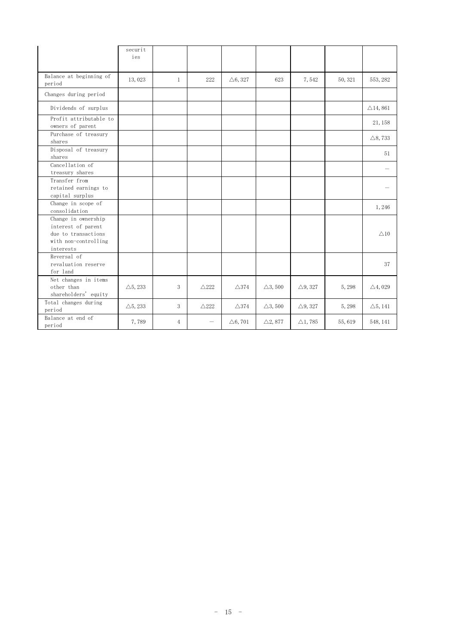|                                                                                                       | securit<br>ies     |                |                 |                    |                   |                    |         |                     |
|-------------------------------------------------------------------------------------------------------|--------------------|----------------|-----------------|--------------------|-------------------|--------------------|---------|---------------------|
| Balance at beginning of<br>period                                                                     | 13,023             | $\mathbf{1}$   | 222             | $\triangle 6, 327$ | 623               | 7,542              | 50, 321 | 553, 282            |
| Changes during period                                                                                 |                    |                |                 |                    |                   |                    |         |                     |
| Dividends of surplus                                                                                  |                    |                |                 |                    |                   |                    |         | $\triangle$ 14, 861 |
| Profit attributable to<br>owners of parent                                                            |                    |                |                 |                    |                   |                    |         | 21, 158             |
| Purchase of treasury<br>shares                                                                        |                    |                |                 |                    |                   |                    |         | $\triangle$ 8,733   |
| Disposal of treasury<br>shares                                                                        |                    |                |                 |                    |                   |                    |         | 51                  |
| Cancellation of<br>treasury shares                                                                    |                    |                |                 |                    |                   |                    |         |                     |
| Transfer from<br>retained earnings to<br>capital surplus                                              |                    |                |                 |                    |                   |                    |         |                     |
| Change in scope of<br>consolidation                                                                   |                    |                |                 |                    |                   |                    |         | 1,246               |
| Change in ownership<br>interest of parent<br>due to transactions<br>with non-controlling<br>interests |                    |                |                 |                    |                   |                    |         | $\triangle$ 10      |
| Reversal of<br>revaluation reserve<br>for land                                                        |                    |                |                 |                    |                   |                    |         | 37                  |
| Net changes in items<br>other than<br>shareholders' equity                                            | $\triangle$ 5, 233 | 3              | $\triangle$ 222 | $\triangle$ 374    | $\triangle$ 3,500 | $\triangle$ 9, 327 | 5,298   | $\triangle 4,029$   |
| Total changes during<br>period                                                                        | $\triangle$ 5, 233 | 3              | $\triangle$ 222 | $\triangle$ 374    | $\triangle$ 3,500 | $\triangle$ 9, 327 | 5,298   | $\triangle 5, 141$  |
| Balance at end of<br>period                                                                           | 7,789              | $\overline{4}$ | —               | $\triangle 6, 701$ | $\triangle 2,877$ | $\triangle$ 1,785  | 55,619  | 548, 141            |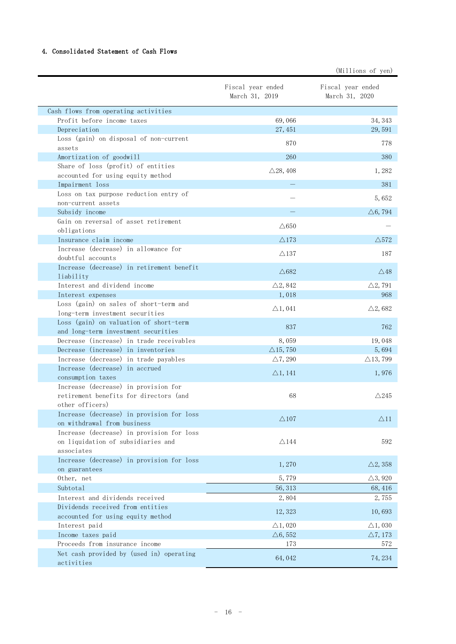#### 4. Consolidated Statement of Cash Flows

|                                                                           |                                     | (Millions of yen)                   |
|---------------------------------------------------------------------------|-------------------------------------|-------------------------------------|
|                                                                           | Fiscal year ended<br>March 31, 2019 | Fiscal year ended<br>March 31, 2020 |
| Cash flows from operating activities                                      |                                     |                                     |
| Profit before income taxes                                                | 69,066                              | 34, 343                             |
| Depreciation                                                              | 27, 451                             | 29,591                              |
| Loss (gain) on disposal of non-current                                    | 870                                 | 778                                 |
| assets                                                                    |                                     |                                     |
| Amortization of goodwill                                                  | 260                                 | 380                                 |
| Share of loss (profit) of entities                                        | $\triangle$ 28, 408                 | 1,282                               |
| accounted for using equity method                                         |                                     |                                     |
| Impairment loss<br>Loss on tax purpose reduction entry of                 |                                     | 381                                 |
| non-current assets                                                        |                                     | 5,652                               |
| Subsidy income                                                            |                                     | $\triangle 6, 794$                  |
| Gain on reversal of asset retirement                                      |                                     |                                     |
| obligations                                                               | $\wedge$ 650                        |                                     |
| Insurance claim income                                                    | $\triangle$ 173                     | $\triangle$ 572                     |
| Increase (decrease) in allowance for                                      | $\triangle$ 137                     | 187                                 |
| doubtful accounts                                                         |                                     |                                     |
| Increase (decrease) in retirement benefit                                 | $\triangle$ 682                     | $\triangle$ 48                      |
| liability                                                                 |                                     |                                     |
| Interest and dividend income                                              | $\triangle 2, 842$                  | $\triangle 2,791$                   |
| Interest expenses                                                         | 1,018                               | 968                                 |
| Loss (gain) on sales of short-term and<br>long-term investment securities | $\triangle$ 1, 041                  | $\triangle$ 2,682                   |
| Loss (gain) on valuation of short-term                                    |                                     |                                     |
| and long-term investment securities                                       | 837                                 | 762                                 |
| Decrease (increase) in trade receivables                                  | 8,059                               | 19,048                              |
| Decrease (increase) in inventories                                        | $\triangle$ 15,750                  | 5,694                               |
| Increase (decrease) in trade payables                                     | $\triangle$ 7, 290                  | $\triangle$ 13,799                  |
| Increase (decrease) in accrued                                            |                                     | 1,976                               |
| consumption taxes                                                         | $\triangle 1, 141$                  |                                     |
| Increase (decrease) in provision for                                      |                                     |                                     |
| retirement benefits for directors (and                                    | 68                                  | $\triangle$ 245                     |
| other officers)                                                           |                                     |                                     |
| Increase (decrease) in provision for loss<br>on withdrawal from business  | $\triangle$ 107                     | $\triangle$ 11                      |
| Increase (decrease) in provision for loss                                 |                                     |                                     |
| on liquidation of subsidiaries and                                        | $\triangle$ 144                     | 592                                 |
| associates                                                                |                                     |                                     |
| Increase (decrease) in provision for loss                                 |                                     |                                     |
| on guarantees                                                             | 1,270                               | $\triangle$ 2, 358                  |
| Other, net                                                                | 5,779                               | $\triangle$ 3, 920                  |
| Subtotal                                                                  | 56, 313                             | 68,416                              |
| Interest and dividends received                                           | 2,804                               | 2,755                               |
| Dividends received from entities                                          | 12, 323                             | 10,693                              |
| accounted for using equity method                                         |                                     |                                     |
| Interest paid                                                             | $\triangle$ 1,020                   | $\triangle$ 1,030                   |
| Income taxes paid                                                         | $\triangle 6, 552$                  | $\triangle 7, 173$                  |
| Proceeds from insurance income                                            | 173                                 | 572                                 |
| Net cash provided by (used in) operating<br>activities                    | 64,042                              | 74, 234                             |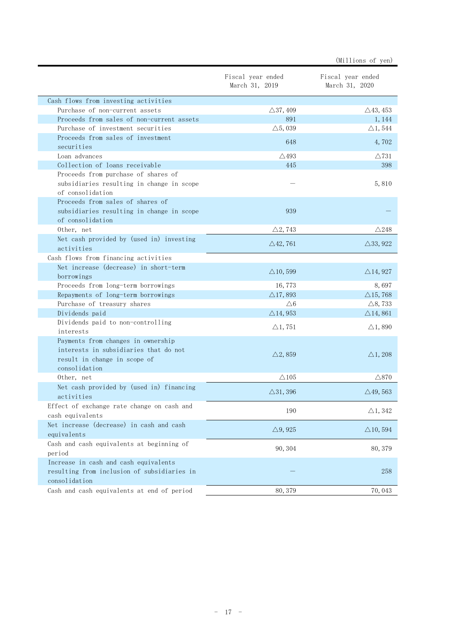|                                                                                                                              |                                     | (Millions of yen)                   |
|------------------------------------------------------------------------------------------------------------------------------|-------------------------------------|-------------------------------------|
|                                                                                                                              | Fiscal year ended<br>March 31, 2019 | Fiscal year ended<br>March 31, 2020 |
| Cash flows from investing activities                                                                                         |                                     |                                     |
| Purchase of non-current assets                                                                                               | $\triangle$ 37, 409                 | $\triangle$ 43, 453                 |
| Proceeds from sales of non-current assets                                                                                    | 891                                 | 1,144                               |
| Purchase of investment securities                                                                                            | $\triangle$ 5, 039                  | $\triangle$ 1, 544                  |
| Proceeds from sales of investment<br>securities                                                                              | 648                                 | 4,702                               |
| Loan advances                                                                                                                | $\triangle$ 493                     | $\triangle$ 731                     |
| Collection of loans receivable                                                                                               | 445                                 | 398                                 |
| Proceeds from purchase of shares of<br>subsidiaries resulting in change in scope<br>of consolidation                         |                                     | 5,810                               |
| Proceeds from sales of shares of<br>subsidiaries resulting in change in scope<br>of consolidation                            | 939                                 |                                     |
| Other, net                                                                                                                   | $\triangle$ 2, 743                  | $\triangle$ 248                     |
| Net cash provided by (used in) investing<br>activities                                                                       | $\triangle$ 42,761                  | $\triangle$ 33, 922                 |
| Cash flows from financing activities                                                                                         |                                     |                                     |
| Net increase (decrease) in short-term<br>borrowings                                                                          | $\triangle$ 10,599                  | $\triangle$ 14, 927                 |
| Proceeds from long-term borrowings                                                                                           | 16,773                              | 8,697                               |
| Repayments of long-term borrowings                                                                                           | $\triangle$ 17,893                  | $\triangle$ 15,768                  |
| Purchase of treasury shares                                                                                                  | $\triangle 6$                       | $\triangle$ 8, 733                  |
| Dividends paid                                                                                                               | $\triangle$ 14, 953                 | $\triangle$ 14,861                  |
| Dividends paid to non-controlling<br>interests                                                                               | $\triangle$ 1, 751                  | $\triangle$ 1,890                   |
| Payments from changes in ownership<br>interests in subsidiaries that do not<br>result in change in scope of<br>consolidation | $\triangle$ 2, 859                  | $\triangle$ 1, 208                  |
| Other, net                                                                                                                   | $\triangle$ 105                     | $\triangle$ 870                     |
| Net cash provided by (used in) financing<br>activities                                                                       | $\triangle$ 31, 396                 | $\triangle$ 49, 563                 |
| Effect of exchange rate change on cash and<br>cash equivalents                                                               | 190                                 | $\triangle$ 1, 342                  |
| Net increase (decrease) in cash and cash<br>equivalents                                                                      | $\triangle$ 9, 925                  | $\triangle$ 10, 594                 |
| Cash and cash equivalents at beginning of<br>period                                                                          | 90, 304                             | 80, 379                             |
| Increase in cash and cash equivalents<br>resulting from inclusion of subsidiaries in<br>consolidation                        |                                     | 258                                 |
| Cash and cash equivalents at end of period                                                                                   | 80, 379                             | 70,043                              |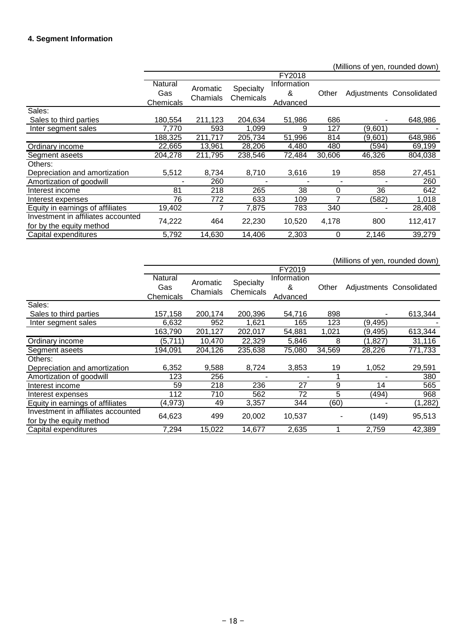#### **4. Segment Information**

(Millions of yen, rounded down) FY2018 **Natural** Gas **Chemicals** Aromatic Chamials **Specialty** Chemicals **Information** & Advanced Other Adjustments Consolidated Sales: Sales to third parties 180,554 211,123 204,634 51,986 686 - 648,986 Inter segment sales 7,770 593 1,099 9 127 (9,601) 188,325 211,717 205,734 51,996 814 (9,601) 648,986 Ordinary income 22,665 13,961 28,206 4,480 480 (594) 69,199<br>
Segment aseets 204,278 211,795 238,546 72,484 30,606 46,326 804,038 Segment aseets 204,278 211,795 238,546 72,484 30,606 46,326 Others: Depreciation and amortization 5,512 8,734 8,710 3,616 19 858 27,451 Amortization of goodwill - 260 - - - - 260 Interest income Interest expenses 76 772 633 109 7 (582) 1,018 Equity in earnings of affiliates 19,402 7 7,875 783 340 - 28,408 Investment in affiliates accounted For by the equity method<br>
For by the equity method<br>
Capital expenditures<br>  $\begin{array}{ccc} 74,222 & 464 & 22,230 & 10,520 & 4,178 & 800 & 112,417 \end{array}$ <br>
Capital expenditures<br>  $\begin{array}{ccc} 5,792 & 14,630 & 14,406 & 2,303 & 0 & 2,146 & 39,279 \end{array}$ Capital expenditures

|                                                                |                             |                      |                        |                              |        |          | (Millions of yen, rounded down) |
|----------------------------------------------------------------|-----------------------------|----------------------|------------------------|------------------------------|--------|----------|---------------------------------|
|                                                                |                             |                      |                        | FY2019                       |        |          |                                 |
|                                                                | Natural<br>Gas<br>Chemicals | Aromatic<br>Chamials | Specialty<br>Chemicals | Information<br>&<br>Advanced | Other  |          | Adjustments Consolidated        |
| Sales:                                                         |                             |                      |                        |                              |        |          |                                 |
| Sales to third parties                                         | 157,158                     | 200,174              | 200,396                | 54,716                       | 898    |          | 613,344                         |
| Inter segment sales                                            | 6,632                       | 952                  | 1,621                  | 165                          | 123    | (9, 495) |                                 |
|                                                                | 163,790                     | 201,127              | 202,017                | 54,881                       | 1,021  | (9, 495) | 613,344                         |
| Ordinary income                                                | (5,711)                     | 10,470               | 22,329                 | 5,846                        | 8      | (1,827)  | 31,116                          |
| Segment aseets                                                 | 194,091                     | 204,126              | 235,638                | 75,080                       | 34,569 | 28,226   | 771,733                         |
| Others:                                                        |                             |                      |                        |                              |        |          |                                 |
| Depreciation and amortization                                  | 6,352                       | 9,588                | 8,724                  | 3,853                        | 19     | 1,052    | 29,591                          |
| Amortization of goodwill                                       | 123                         | 256                  |                        |                              |        |          | 380                             |
| Interest income                                                | 59                          | 218                  | 236                    | 27                           | 9      | 14       | 565                             |
| Interest expenses                                              | 112                         | 710                  | 562                    | 72                           | 5      | (494)    | 968                             |
| Equity in earnings of affiliates                               | (4, 973)                    | 49                   | 3,357                  | 344                          | (60)   |          | (1, 282)                        |
| Investment in affiliates accounted<br>for by the equity method | 64,623                      | 499                  | 20,002                 | 10,537                       |        | (149)    | 95,513                          |
| Capital expenditures                                           | 7,294                       | 15,022               | 14,677                 | 2,635                        |        | 2,759    | 42,389                          |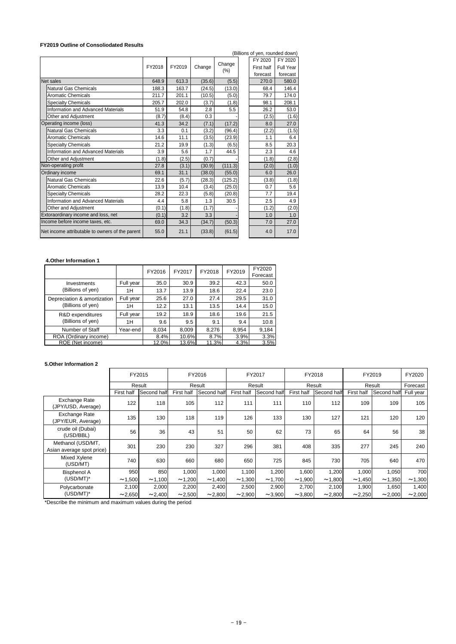#### **FY2019 Outline of Consoliodated Results**

|                                                 |        |        |        |         |            | (Billions of yen, rounded down) |
|-------------------------------------------------|--------|--------|--------|---------|------------|---------------------------------|
|                                                 |        |        |        | Change  | FY 2020    | FY 2020                         |
|                                                 | FY2018 | FY2019 | Change | $(\%)$  | First half | Full Year                       |
|                                                 |        |        |        |         | forecast   | forecast                        |
| Net sales                                       | 648.9  | 613.3  | (35.6) | (5.5)   | 270.0      | 580.0                           |
| <b>Natural Gas Chemicals</b>                    | 188.3  | 163.7  | (24.5) | (13.0)  | 68.4       | 146.4                           |
| <b>Aromatic Chemicals</b>                       | 211.7  | 201.1  | (10.5) | (5.0)   | 79.7       | 174.0                           |
| <b>Specialty Chemicals</b>                      | 205.7  | 202.0  | (3.7)  | (1.8)   | 98.1       | 208.1                           |
| <b>Information and Advanced Materials</b>       | 51.9   | 54.8   | 2.8    | 5.5     | 26.2       | 53.0                            |
| Other and Adjustment                            | (8.7)  | (8.4)  | 0.3    |         | (2.5)      | (1.6)                           |
| Operating income (loss)                         | 41.3   | 34.2   | (7.1)  | (17.2)  | 8.0        | 27.0                            |
| <b>Natural Gas Chemicals</b>                    | 3.3    | 0.1    | (3.2)  | (96.4)  | (2.2)      | (1.5)                           |
| <b>Aromatic Chemicals</b>                       | 14.6   | 11.1   | (3.5)  | (23.9)  | 1.1        | 6.4                             |
| <b>Specialty Chemicals</b>                      | 21.2   | 19.9   | (1.3)  | (6.5)   | 8.5        | 20.3                            |
| <b>Information and Advanced Materials</b>       | 3.9    | 5.6    | 1.7    | 44.5    | 2.3        | 4.6                             |
| Other and Adjustment                            | (1.8)  | (2.5)  | (0.7)  |         | (1.8)      | (2.8)                           |
| Non-operating profit                            | 27.8   | (3.1)  | (30.9) | (111.3) | (2.0)      | (1.0)                           |
| Ordinary income                                 | 69.1   | 31.1   | (38.0) | (55.0)  | 6.0        | 26.0                            |
| <b>Natural Gas Chemicals</b>                    | 22.6   | (5.7)  | (28.3) | (125.2) | (3.8)      | (1.8)                           |
| <b>Aromatic Chemicals</b>                       | 13.9   | 10.4   | (3.4)  | (25.0)  | 0.7        | 5.6                             |
| <b>Specialty Chemicals</b>                      | 28.2   | 22.3   | (5.8)  | (20.8)  | 7.7        | 19.4                            |
| <b>Information and Advanced Materials</b>       | 4.4    | 5.8    | 1.3    | 30.5    | 2.5        | 4.9                             |
| Other and Adjustment                            | (0.1)  | (1.8)  | (1.7)  |         | (1.2)      | (2.0)                           |
| Extoraordinary income and loss, net             | (0.1)  | 3.2    | 3.3    |         | 1.0        | 1.0                             |
| Income before income taxes, etc.                | 69.0   | 34.3   | (34.7) | (50.3)  | 7.0        | 27.0                            |
| Net income attributable to owners of the parent | 55.0   | 21.1   | (33.8) | (61.5)  | 4.0        | 17.0                            |

## **4.Other Information 1**

|                             |           | FY2016 | FY2017 | FY2018 | FY2019 | FY2020<br>Forecast |
|-----------------------------|-----------|--------|--------|--------|--------|--------------------|
| Investments                 | Full year | 35.0   | 30.9   | 39.2   | 42.3   | 50.0               |
| (Billions of yen)           | 1H        | 13.7   | 13.9   | 18.6   | 22.4   | 23.0               |
| Depreciation & amortization | Full year | 25.6   | 27.0   | 27.4   | 29.5   | 31.0               |
| (Billions of yen)           | 1H        | 12.2   | 13.1   | 13.5   | 14.4   | 15.0               |
| R&D expenditures            | Full year | 19.2   | 18.9   | 18.6   | 19.6   | 21.5               |
| (Billions of yen)           | 1H        | 9.6    | 9.5    | 9.1    | 9.4    | 10.8               |
| Number of Staff             | Year-end  | 8,034  | 8,009  | 8,276  | 8,954  | 9,184              |
| ROA (Ordinary income)       |           | 8.4%   | 10.6%  | 8.7%   | 3.9%   | 3.3%               |
| ROE (Net income)            |           | 12.0%  | 13.6%  | 11.3%  | 4.3%   | 3.5%               |

#### **5.Other Information 2**

|                                                |            | FY2015       |            | FY2016      |              | FY2017       |              | FY2018       |              | FY2019      | FY2020       |
|------------------------------------------------|------------|--------------|------------|-------------|--------------|--------------|--------------|--------------|--------------|-------------|--------------|
|                                                |            | Result       |            | Result      |              | Result       |              | Result       |              | Result      | Forecast     |
|                                                | First half | Second half  | First half | Second half | First half   | Second half  | First half   | Second half  | First half   | Second half | Full year    |
| <b>Exchange Rate</b><br>(JPY/USD, Average)     | 122        | 118          | 105        | 112         | 111          | 111          | 110          | 112          | 109          | 109         | 105          |
| <b>Exchange Rate</b><br>(JPY/EUR, Average)     | 135        | 130          | 118        | 119         | 126          | 133          | 130          | 127          | 121          | 120         | 120          |
| crude oil (Dubai)<br>(USD/BBL)                 | 56         | 36           | 43         | 51          | 50           | 62           | 73           | 65           | 64           | 56          | 38           |
| Methanol (USD/MT,<br>Asian average spot price) | 301        | 230          | 230        | 327         | 296          | 381          | 408          | 335          | 277          | 245         | 240          |
| Mixed Xylene<br>(USD/MT)                       | 740        | 630          | 660        | 680         | 650          | 725          | 845          | 730          | 705          | 640         | 470          |
| <b>Bisphenol A</b>                             | 950        | 850          | 1,000      | 1,000       | 1,100        | 1,200        | 1,600        | 1,200        | 1,000        | 1,050       | <b>700</b>   |
| $(USD/MT)^*$                                   | ~1,500     | ~1,100       | ~1,200     | ~1,400      | ~1,300       | ~1,700       | ~1,900       | ~1,800       | ~1,450       | ~1,350      | ~1,300       |
| Polycarbonate                                  | 2,100      | 2,000        | 2,200      | 2,400       | 2,500        | 2,900        | 2,700        | 2,100        | 1,900        | 1,650       | ,400         |
| $(USD/MT)^*$                                   | ~2,650     | $\sim$ 2,400 | ~2,500     | ~2,800      | $\sim$ 2,900 | $\sim$ 3,900 | $\sim$ 3,800 | $\sim$ 2,800 | $\sim$ 2,250 | ~2,000      | $\sim$ 2,000 |

\*Describe the minimum and maximum values during the period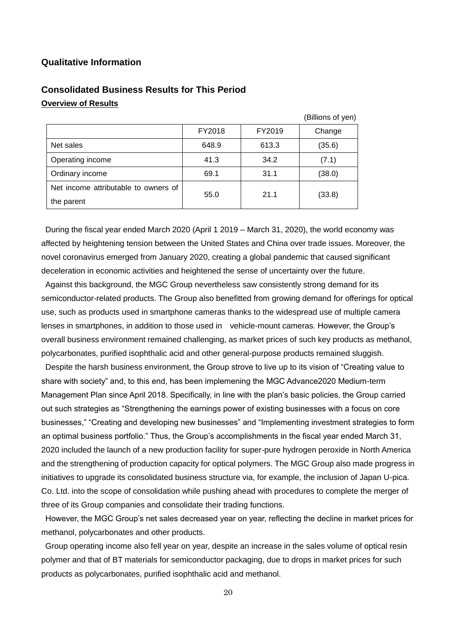#### **Qualitative Information**

|                                      |        |        | (Billions of yen) |
|--------------------------------------|--------|--------|-------------------|
|                                      | FY2018 | FY2019 | Change            |
| Net sales                            | 648.9  | 613.3  | (35.6)            |
| Operating income                     | 41.3   | 34.2   | (7.1)             |
| Ordinary income                      | 69.1   | 31.1   | (38.0)            |
| Net income attributable to owners of |        | 21.1   |                   |
| the parent                           | 55.0   |        | (33.8)            |

# **Consolidated Business Results for This Period Overview of Results**

During the fiscal year ended March 2020 (April 1 2019 – March 31, 2020), the world economy was affected by heightening tension between the United States and China over trade issues. Moreover, the novel coronavirus emerged from January 2020, creating a global pandemic that caused significant deceleration in economic activities and heightened the sense of uncertainty over the future.

Against this background, the MGC Group nevertheless saw consistently strong demand for its semiconductor-related products. The Group also benefitted from growing demand for offerings for optical use, such as products used in smartphone cameras thanks to the widespread use of multiple camera lenses in smartphones, in addition to those used in vehicle-mount cameras. However, the Group's overall business environment remained challenging, as market prices of such key products as methanol, polycarbonates, purified isophthalic acid and other general-purpose products remained sluggish.

Despite the harsh business environment, the Group strove to live up to its vision of "Creating value to share with society" and, to this end, has been implemening the MGC Advance2020 Medium-term Management Plan since April 2018. Specifically, in line with the plan's basic policies, the Group carried out such strategies as "Strengthening the earnings power of existing businesses with a focus on core businesses," "Creating and developing new businesses" and "Implementing investment strategies to form an optimal business portfolio." Thus, the Group's accomplishments in the fiscal year ended March 31, 2020 included the launch of a new production facility for super-pure hydrogen peroxide in North America and the strengthening of production capacity for optical polymers. The MGC Group also made progress in initiatives to upgrade its consolidated business structure via, for example, the inclusion of Japan U-pica. Co. Ltd. into the scope of consolidation while pushing ahead with procedures to complete the merger of three of its Group companies and consolidate their trading functions.

However, the MGC Group's net sales decreased year on year, reflecting the decline in market prices for methanol, polycarbonates and other products.

Group operating income also fell year on year, despite an increase in the sales volume of optical resin polymer and that of BT materials for semiconductor packaging, due to drops in market prices for such products as polycarbonates, purified isophthalic acid and methanol.

20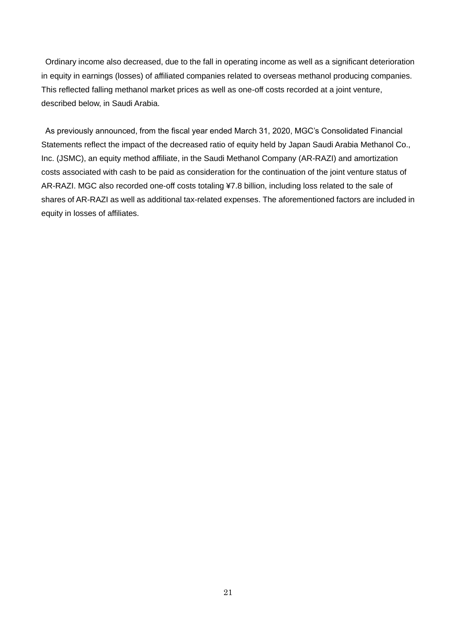Ordinary income also decreased, due to the fall in operating income as well as a significant deterioration in equity in earnings (losses) of affiliated companies related to overseas methanol producing companies. This reflected falling methanol market prices as well as one-off costs recorded at a joint venture, described below, in Saudi Arabia.

As previously announced, from the fiscal year ended March 31, 2020, MGC's Consolidated Financial Statements reflect the impact of the decreased ratio of equity held by Japan Saudi Arabia Methanol Co., Inc. (JSMC), an equity method affiliate, in the Saudi Methanol Company (AR-RAZI) and amortization costs associated with cash to be paid as consideration for the continuation of the joint venture status of AR-RAZI. MGC also recorded one-off costs totaling ¥7.8 billion, including loss related to the sale of shares of AR-RAZI as well as additional tax-related expenses. The aforementioned factors are included in equity in losses of affiliates.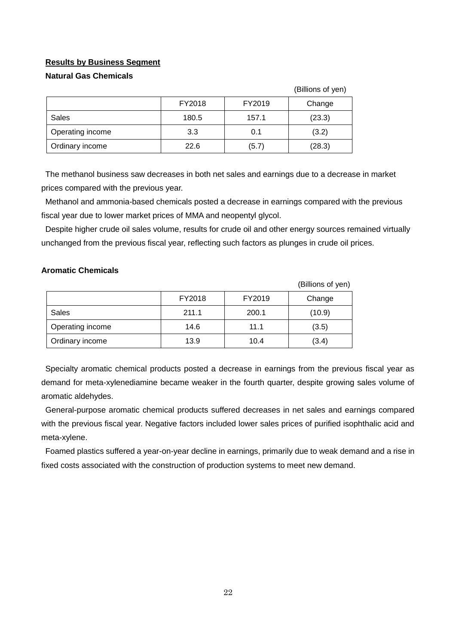#### **Results by Business Segment**

#### **Natural Gas Chemicals**

|                  |        |        | (Billions of yen) |
|------------------|--------|--------|-------------------|
|                  | FY2018 | FY2019 | Change            |
| <b>Sales</b>     | 180.5  | 157.1  | (23.3)            |
| Operating income | 3.3    | 0.1    | (3.2)             |
| Ordinary income  | 22.6   | (5.7)  | (28.3)            |

The methanol business saw decreases in both net sales and earnings due to a decrease in market prices compared with the previous year.

Methanol and ammonia-based chemicals posted a decrease in earnings compared with the previous fiscal year due to lower market prices of MMA and neopentyl glycol.

Despite higher crude oil sales volume, results for crude oil and other energy sources remained virtually unchanged from the previous fiscal year, reflecting such factors as plunges in crude oil prices.

#### **Aromatic Chemicals**

|                  |        |        | (Billions of yen) |
|------------------|--------|--------|-------------------|
|                  | FY2018 | FY2019 | Change            |
| Sales            | 211.1  | 200.1  | (10.9)            |
| Operating income | 14.6   | 11.1   | (3.5)             |
| Ordinary income  | 13.9   | 10.4   | (3.4)             |

Specialty aromatic chemical products posted a decrease in earnings from the previous fiscal year as demand for meta-xylenediamine became weaker in the fourth quarter, despite growing sales volume of aromatic aldehydes.

General-purpose aromatic chemical products suffered decreases in net sales and earnings compared with the previous fiscal year. Negative factors included lower sales prices of purified isophthalic acid and meta-xylene.

Foamed plastics suffered a year-on-year decline in earnings, primarily due to weak demand and a rise in fixed costs associated with the construction of production systems to meet new demand.